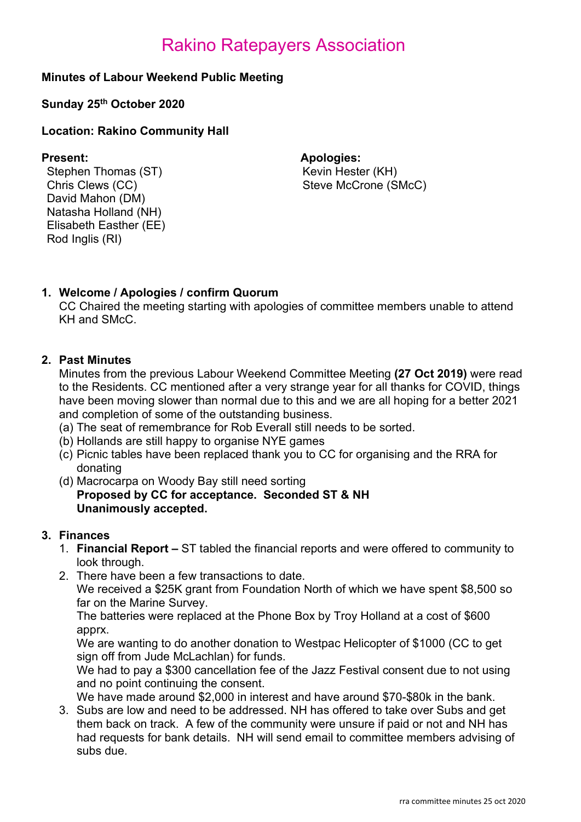# Minutes of Labour Weekend Public Meeting

### Sunday 25th October 2020

# Location: Rakino Community Hall

Stephen Thomas (ST) Kevin Hester (KH) Chris Clews (CC) David Mahon (DM) Natasha Holland (NH) Elisabeth Easther (EE) Rod Inglis (RI)

Present: Apologies: Steve McCrone (SMcC)

# 1. Welcome / Apologies / confirm Quorum

CC Chaired the meeting starting with apologies of committee members unable to attend KH and SMcC.

# 2. Past Minutes

Minutes from the previous Labour Weekend Committee Meeting (27 Oct 2019) were read to the Residents. CC mentioned after a very strange year for all thanks for COVID, things have been moving slower than normal due to this and we are all hoping for a better 2021 and completion of some of the outstanding business.

- (a) The seat of remembrance for Rob Everall still needs to be sorted.
- (b) Hollands are still happy to organise NYE games
- (c) Picnic tables have been replaced thank you to CC for organising and the RRA for donating
- (d) Macrocarpa on Woody Bay still need sorting Proposed by CC for acceptance. Seconded ST & NH Unanimously accepted.

### 3. Finances

- 1. Financial Report ST tabled the financial reports and were offered to community to look through.
- 2. There have been a few transactions to date.

We received a \$25K grant from Foundation North of which we have spent \$8,500 so far on the Marine Survey.

The batteries were replaced at the Phone Box by Troy Holland at a cost of \$600 apprx.

We are wanting to do another donation to Westpac Helicopter of \$1000 (CC to get sign off from Jude McLachlan) for funds.

We had to pay a \$300 cancellation fee of the Jazz Festival consent due to not using and no point continuing the consent.

We have made around \$2,000 in interest and have around \$70-\$80k in the bank.

3. Subs are low and need to be addressed. NH has offered to take over Subs and get them back on track. A few of the community were unsure if paid or not and NH has had requests for bank details. NH will send email to committee members advising of subs due.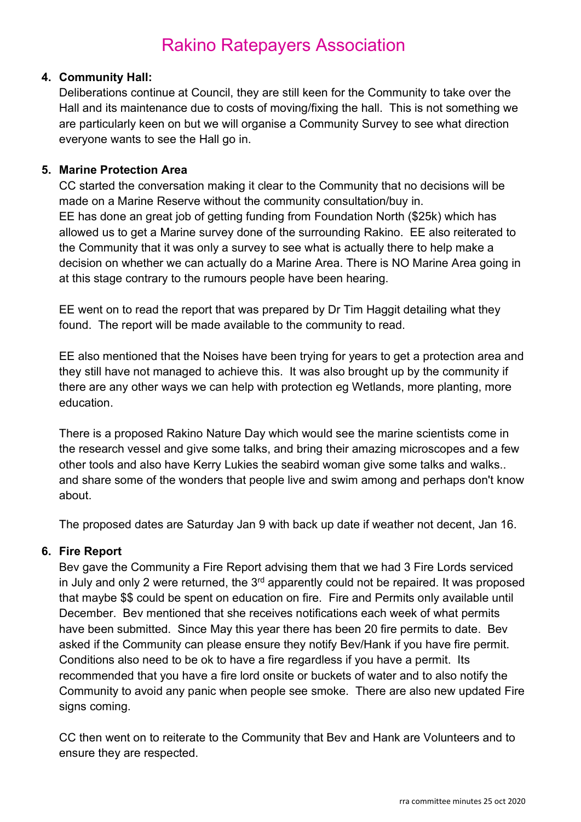# 4. Community Hall:

Deliberations continue at Council, they are still keen for the Community to take over the Hall and its maintenance due to costs of moving/fixing the hall. This is not something we are particularly keen on but we will organise a Community Survey to see what direction everyone wants to see the Hall go in.

# 5. Marine Protection Area

CC started the conversation making it clear to the Community that no decisions will be made on a Marine Reserve without the community consultation/buy in. EE has done an great job of getting funding from Foundation North (\$25k) which has allowed us to get a Marine survey done of the surrounding Rakino. EE also reiterated to the Community that it was only a survey to see what is actually there to help make a decision on whether we can actually do a Marine Area. There is NO Marine Area going in at this stage contrary to the rumours people have been hearing.

EE went on to read the report that was prepared by Dr Tim Haggit detailing what they found. The report will be made available to the community to read.

EE also mentioned that the Noises have been trying for years to get a protection area and they still have not managed to achieve this. It was also brought up by the community if there are any other ways we can help with protection eg Wetlands, more planting, more education.

There is a proposed Rakino Nature Day which would see the marine scientists come in the research vessel and give some talks, and bring their amazing microscopes and a few other tools and also have Kerry Lukies the seabird woman give some talks and walks.. and share some of the wonders that people live and swim among and perhaps don't know about.

The proposed dates are Saturday Jan 9 with back up date if weather not decent, Jan 16.

### 6. Fire Report

Bev gave the Community a Fire Report advising them that we had 3 Fire Lords serviced in July and only 2 were returned, the  $3<sup>rd</sup>$  apparently could not be repaired. It was proposed that maybe \$\$ could be spent on education on fire. Fire and Permits only available until December. Bev mentioned that she receives notifications each week of what permits have been submitted. Since May this year there has been 20 fire permits to date. Bev asked if the Community can please ensure they notify Bev/Hank if you have fire permit. Conditions also need to be ok to have a fire regardless if you have a permit. Its recommended that you have a fire lord onsite or buckets of water and to also notify the Community to avoid any panic when people see smoke. There are also new updated Fire signs coming.

CC then went on to reiterate to the Community that Bev and Hank are Volunteers and to ensure they are respected.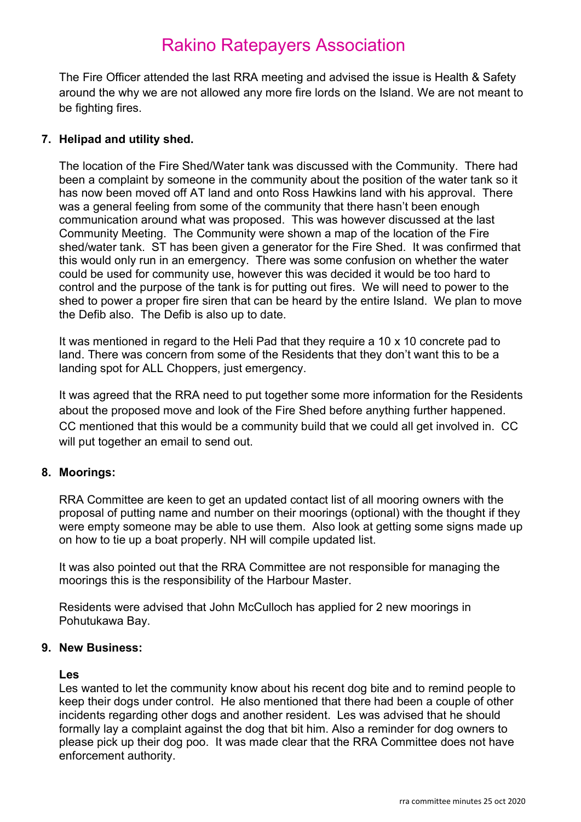The Fire Officer attended the last RRA meeting and advised the issue is Health & Safety around the why we are not allowed any more fire lords on the Island. We are not meant to be fighting fires.

# 7. Helipad and utility shed.

The location of the Fire Shed/Water tank was discussed with the Community. There had been a complaint by someone in the community about the position of the water tank so it has now been moved off AT land and onto Ross Hawkins land with his approval. There was a general feeling from some of the community that there hasn't been enough communication around what was proposed. This was however discussed at the last Community Meeting. The Community were shown a map of the location of the Fire shed/water tank. ST has been given a generator for the Fire Shed. It was confirmed that this would only run in an emergency. There was some confusion on whether the water could be used for community use, however this was decided it would be too hard to control and the purpose of the tank is for putting out fires. We will need to power to the shed to power a proper fire siren that can be heard by the entire Island. We plan to move the Defib also. The Defib is also up to date.

It was mentioned in regard to the Heli Pad that they require a 10 x 10 concrete pad to land. There was concern from some of the Residents that they don't want this to be a landing spot for ALL Choppers, just emergency.

It was agreed that the RRA need to put together some more information for the Residents about the proposed move and look of the Fire Shed before anything further happened. CC mentioned that this would be a community build that we could all get involved in. CC will put together an email to send out.

# 8. Moorings:

RRA Committee are keen to get an updated contact list of all mooring owners with the proposal of putting name and number on their moorings (optional) with the thought if they were empty someone may be able to use them. Also look at getting some signs made up on how to tie up a boat properly. NH will compile updated list.

It was also pointed out that the RRA Committee are not responsible for managing the moorings this is the responsibility of the Harbour Master.

Residents were advised that John McCulloch has applied for 2 new moorings in Pohutukawa Bay.

### 9. New Business:

#### Les

Les wanted to let the community know about his recent dog bite and to remind people to keep their dogs under control. He also mentioned that there had been a couple of other incidents regarding other dogs and another resident. Les was advised that he should formally lay a complaint against the dog that bit him. Also a reminder for dog owners to please pick up their dog poo. It was made clear that the RRA Committee does not have enforcement authority.